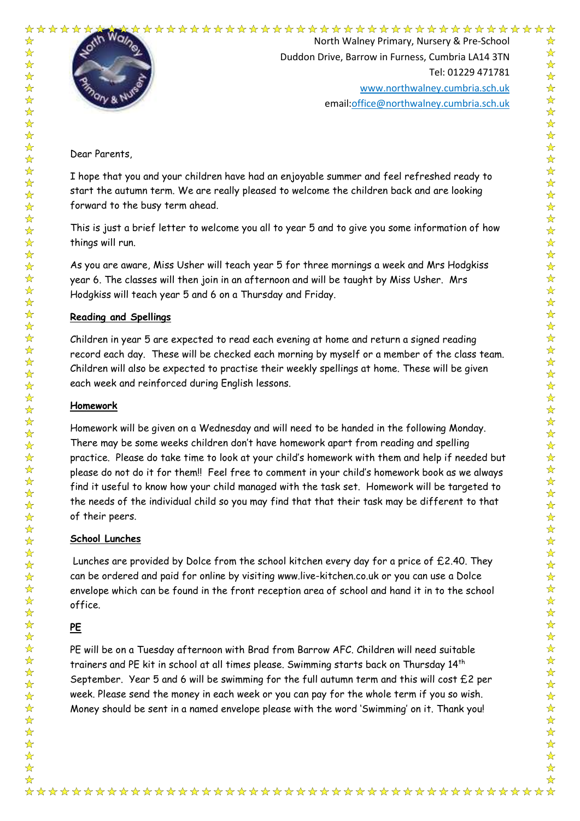



☆

 $\frac{\lambda}{\lambda}$ 

 $\frac{\lambda}{\lambda}$ 

 $\frac{1}{\lambda}$ 

 $\frac{1}{\sqrt{2}}$ 

 $\frac{1}{\sqrt{2}}$ 

 $\frac{1}{\mathcal{N}}$ 

 $\frac{1}{2}$  $\frac{1}{\sqrt{2}}$ 

 $\frac{1}{\sqrt{2}}$  $\frac{1}{\sqrt{2}}$  $\frac{1}{\mathcal{N}}$  $\frac{1}{\sqrt{2}}$  $\frac{1}{2}$  $\frac{1}{\mathbf{k}}$ 

 $\frac{1}{\lambda}$ 

 $\frac{1}{\sqrt{2}}$  $\frac{1}{\sqrt{2}}$ 

 $\frac{1}{\sqrt{2}}$  $\frac{1}{2}$  $\frac{1}{\sqrt{2}}$ 

 $\frac{1}{\sqrt{2}}$  $\frac{1}{2}$ 

 $\frac{1}{\sqrt{2}}$  $\frac{1}{2}$  $\frac{1}{\mathbf{k}}$ 24 24

琴琴琴

 $\frac{1}{\sqrt{2}}$ 

 $\frac{1}{\sqrt{2}}$ 

 $\frac{1}{\sqrt{2}}$  $\frac{1}{\sqrt{2}}$ 

24 24 24

 $\frac{1}{\sqrt{2}}$  $\frac{1}{\sqrt{2}}$ 

 $\frac{1}{\sqrt{2}}$  $\frac{1}{\sqrt{2}}$  $\frac{1}{\mathbf{k}}$ 

 $\frac{1}{\sqrt{2}}$ 

 $\frac{1}{\sqrt{2}}$ 

 $\frac{1}{2}$  $\sum$  $\frac{1}{\sqrt{2}}$ 

 $\frac{\lambda}{\lambda}$ 

 $\frac{1}{\sqrt{2}}$ 

 $\frac{1}{\sqrt{2}}$ 

24 24

 $\frac{1}{\sqrt{2}}$ 

 $\mathbf{r}$ 

 $\frac{1}{\sqrt{2}}$ 

 $\frac{1}{\sqrt{2}}$ 

毕毕毕

 $\frac{1}{\sqrt{2}}$  $\frac{1}{\sqrt{2}}$ 

 $\frac{1}{\sqrt{2}}$ 

North Walney Primary, Nursery & Pre-School Duddon Drive, Barrow in Furness, Cumbria LA14 3TN Tel: 01229 471781 www.northwalney.cumbria.sch.uk email:office@northwalney.cumbria.sch.uk

Dear Parents,

I hope that you and your children have had an enjoyable summer and feel refreshed ready to start the autumn term. We are really pleased to welcome the children back and are looking forward to the busy term ahead.

This is just a brief letter to welcome you all to year 5 and to give you some information of how things will run.

As you are aware, Miss Usher will teach year 5 for three mornings a week and Mrs Hodgkiss year 6. The classes will then join in an afternoon and will be taught by Miss Usher. Mrs Hodgkiss will teach year 5 and 6 on a Thursday and Friday.

## **Reading and Spellings**

Children in year 5 are expected to read each evening at home and return a signed reading record each day. These will be checked each morning by myself or a member of the class team. Children will also be expected to practise their weekly spellings at home. These will be given each week and reinforced during English lessons.

### **Homework**

Homework will be given on a Wednesday and will need to be handed in the following Monday. There may be some weeks children don't have homework apart from reading and spelling practice. Please do take time to look at your child's homework with them and help if needed but please do not do it for them!! Feel free to comment in your child's homework book as we always find it useful to know how your child managed with the task set. Homework will be targeted to the needs of the individual child so you may find that that their task may be different to that of their peers.

### **School Lunches**

 Lunches are provided by Dolce from the school kitchen every day for a price of £2.40. They can be ordered and paid for online by visiting www.live-kitchen.co.uk or you can use a Dolce envelope which can be found in the front reception area of school and hand it in to the school office.

# **PE**

PE will be on a Tuesday afternoon with Brad from Barrow AFC. Children will need suitable trainers and PE kit in school at all times please. Swimming starts back on Thursday 14th September. Year 5 and 6 will be swimming for the full autumn term and this will cost £2 per week. Please send the money in each week or you can pay for the whole term if you so wish. Money should be sent in a named envelope please with the word 'Swimming' on it. Thank you!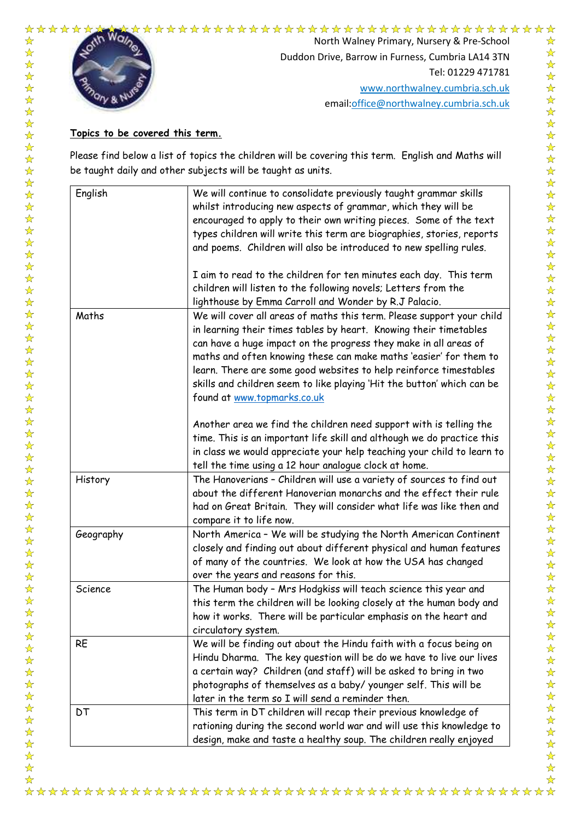

North Walney Primary, Nursery & Pre-School Duddon Drive, Barrow in Furness, Cumbria LA14 3TN Tel: 01229 471781 www.northwalney.cumbria.sch.uk email:office@northwalney.cumbria.sch.uk # **Topics to be covered this term.**

Please find below a list of topics the children will be covering this term. English and Maths will be taught daily and other subjects will be taught as units.

| English   | We will continue to consolidate previously taught grammar skills<br>whilst introducing new aspects of grammar, which they will be<br>encouraged to apply to their own writing pieces. Some of the text<br>types children will write this term are biographies, stories, reports<br>and poems. Children will also be introduced to new spelling rules.                                                                                                             |
|-----------|-------------------------------------------------------------------------------------------------------------------------------------------------------------------------------------------------------------------------------------------------------------------------------------------------------------------------------------------------------------------------------------------------------------------------------------------------------------------|
|           | I aim to read to the children for ten minutes each day. This term<br>children will listen to the following novels; Letters from the<br>lighthouse by Emma Carroll and Wonder by R.J Palacio.                                                                                                                                                                                                                                                                      |
| Maths     | We will cover all areas of maths this term. Please support your child<br>in learning their times tables by heart. Knowing their timetables<br>can have a huge impact on the progress they make in all areas of<br>maths and often knowing these can make maths 'easier' for them to<br>learn. There are some good websites to help reinforce timestables<br>skills and children seem to like playing 'Hit the button' which can be<br>found at www.topmarks.co.uk |
|           | Another area we find the children need support with is telling the<br>time. This is an important life skill and although we do practice this<br>in class we would appreciate your help teaching your child to learn to<br>tell the time using a 12 hour analogue clock at home.                                                                                                                                                                                   |
| History   | The Hanoverians - Children will use a variety of sources to find out<br>about the different Hanoverian monarchs and the effect their rule<br>had on Great Britain. They will consider what life was like then and<br>compare it to life now.                                                                                                                                                                                                                      |
| Geography | North America - We will be studying the North American Continent<br>closely and finding out about different physical and human features<br>of many of the countries. We look at how the USA has changed<br>over the years and reasons for this.                                                                                                                                                                                                                   |
| Science   | The Human body - Mrs Hodgkiss will teach science this year and<br>this term the children will be looking closely at the human body and<br>how it works. There will be particular emphasis on the heart and<br>circulatory system.                                                                                                                                                                                                                                 |
| <b>RE</b> | We will be finding out about the Hindu faith with a focus being on<br>Hindu Dharma. The key question will be do we have to live our lives<br>a certain way? Children (and staff) will be asked to bring in two<br>photographs of themselves as a baby/younger self. This will be<br>later in the term so I will send a reminder then.                                                                                                                             |
| DT        | This term in DT children will recap their previous knowledge of<br>rationing during the second world war and will use this knowledge to<br>design, make and taste a healthy soup. The children really enjoyed                                                                                                                                                                                                                                                     |